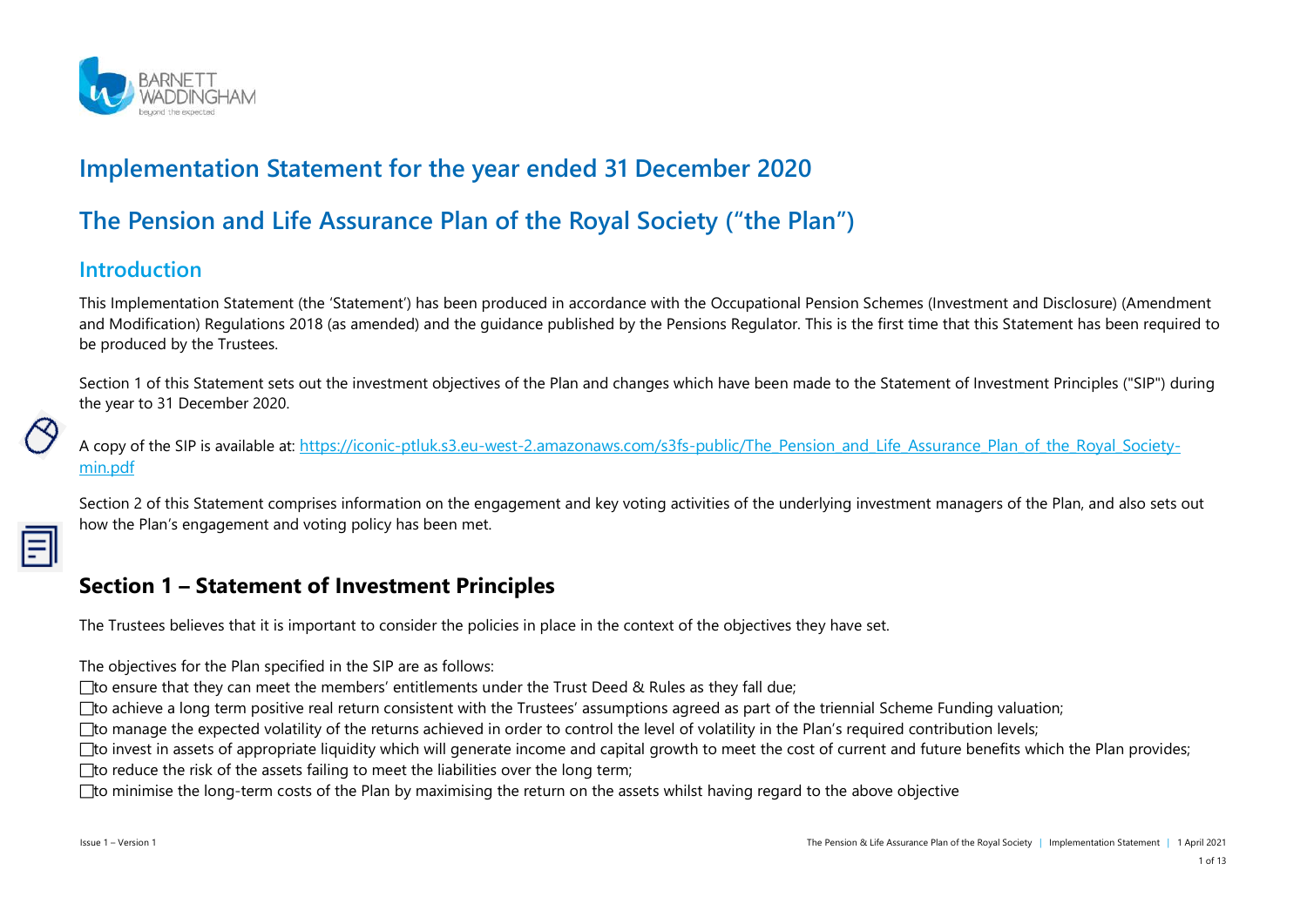

# **Implementation Statement for the year ended 31 December 2020**

# **The Pension and Life Assurance Plan of the Royal Society ("the Plan")**

### **Introduction**

This Implementation Statement (the 'Statement') has been produced in accordance with the Occupational Pension Schemes (Investment and Disclosure) (Amendment and Modification) Regulations 2018 (as amended) and the guidance published by the Pensions Regulator. This is the first time that this Statement has been required to be produced by the Trustees.

Section 1 of this Statement sets out the investment objectives of the Plan and changes which have been made to the Statement of Investment Principles ("SIP") during the year to 31 December 2020.

A copy of the SIP is available at: [https://iconic-ptluk.s3.eu-west-2.amazonaws.com/s3fs-public/The\\_Pension\\_and\\_Life\\_Assurance\\_Plan\\_of\\_the\\_Royal\\_Society](https://iconic-ptluk.s3.eu-west-2.amazonaws.com/s3fs-public/The_Pension_and_Life_Assurance_Plan_of_the_Royal_Society-min.pdf)[min.pdf](https://iconic-ptluk.s3.eu-west-2.amazonaws.com/s3fs-public/The_Pension_and_Life_Assurance_Plan_of_the_Royal_Society-min.pdf)

Section 2 of this Statement comprises information on the engagement and key voting activities of the underlying investment managers of the Plan, and also sets out how the Plan's engagement and voting policy has been met.

#### **Section 1 – Statement of Investment Principles**

The Trustees believes that it is important to consider the policies in place in the context of the objectives they have set.

The objectives for the Plan specified in the SIP are as follows:

□ to ensure that they can meet the members' entitlements under the Trust Deed & Rules as they fall due;

 $\Box$  to achieve a long term positive real return consistent with the Trustees' assumptions agreed as part of the triennial Scheme Funding valuation;

□ to manage the expected volatility of the returns achieved in order to control the level of volatility in the Plan's required contribution levels;

 $\Box$  to invest in assets of appropriate liquidity which will generate income and capital growth to meet the cost of current and future benefits which the Plan provides;

 $\Box$  to reduce the risk of the assets failing to meet the liabilities over the long term;

 $\Box$  to minimise the long-term costs of the Plan by maximising the return on the assets whilst having regard to the above objective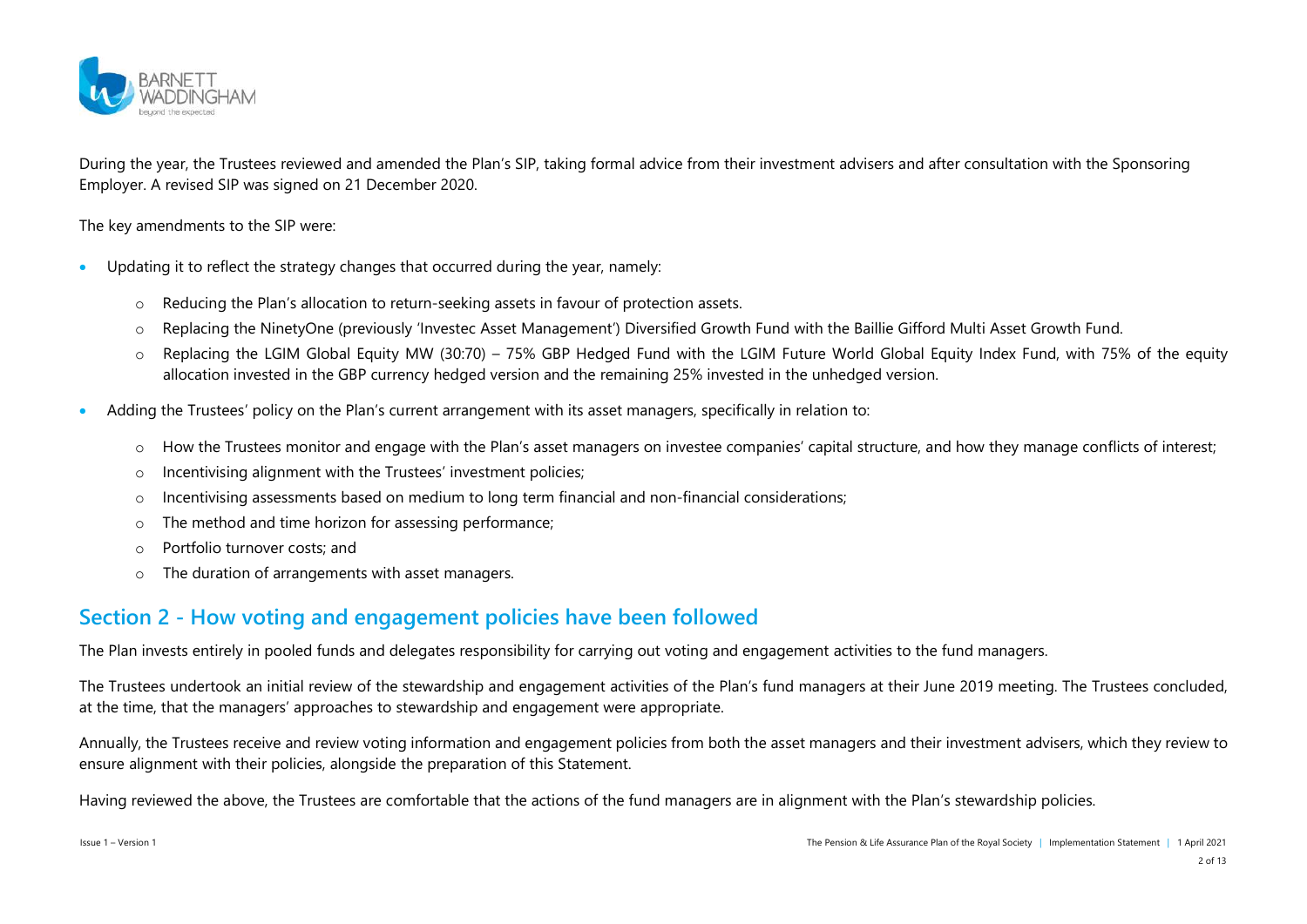

During the year, the Trustees reviewed and amended the Plan's SIP, taking formal advice from their investment advisers and after consultation with the Sponsoring Employer. A revised SIP was signed on 21 December 2020.

The key amendments to the SIP were:

- Updating it to reflect the strategy changes that occurred during the year, namely:
	- o Reducing the Plan's allocation to return-seeking assets in favour of protection assets.
	- o Replacing the NinetyOne (previously 'Investec Asset Management') Diversified Growth Fund with the Baillie Gifford Multi Asset Growth Fund.
	- $\circ$  Replacing the LGIM Global Equity MW (30:70) 75% GBP Hedged Fund with the LGIM Future World Global Equity Index Fund, with 75% of the equity allocation invested in the GBP currency hedged version and the remaining 25% invested in the unhedged version.
- Adding the Trustees' policy on the Plan's current arrangement with its asset managers, specifically in relation to:
	- o How the Trustees monitor and engage with the Plan's asset managers on investee companies' capital structure, and how they manage conflicts of interest;
	- o Incentivising alignment with the Trustees' investment policies;
	- o Incentivising assessments based on medium to long term financial and non-financial considerations;
	- o The method and time horizon for assessing performance;
	- o Portfolio turnover costs; and
	- o The duration of arrangements with asset managers.

### **Section 2 - How voting and engagement policies have been followed**

The Plan invests entirely in pooled funds and delegates responsibility for carrying out voting and engagement activities to the fund managers.

The Trustees undertook an initial review of the stewardship and engagement activities of the Plan's fund managers at their June 2019 meeting. The Trustees concluded, at the time, that the managers' approaches to stewardship and engagement were appropriate.

Annually, the Trustees receive and review voting information and engagement policies from both the asset managers and their investment advisers, which they review to ensure alignment with their policies, alongside the preparation of this Statement.

Having reviewed the above, the Trustees are comfortable that the actions of the fund managers are in alignment with the Plan's stewardship policies.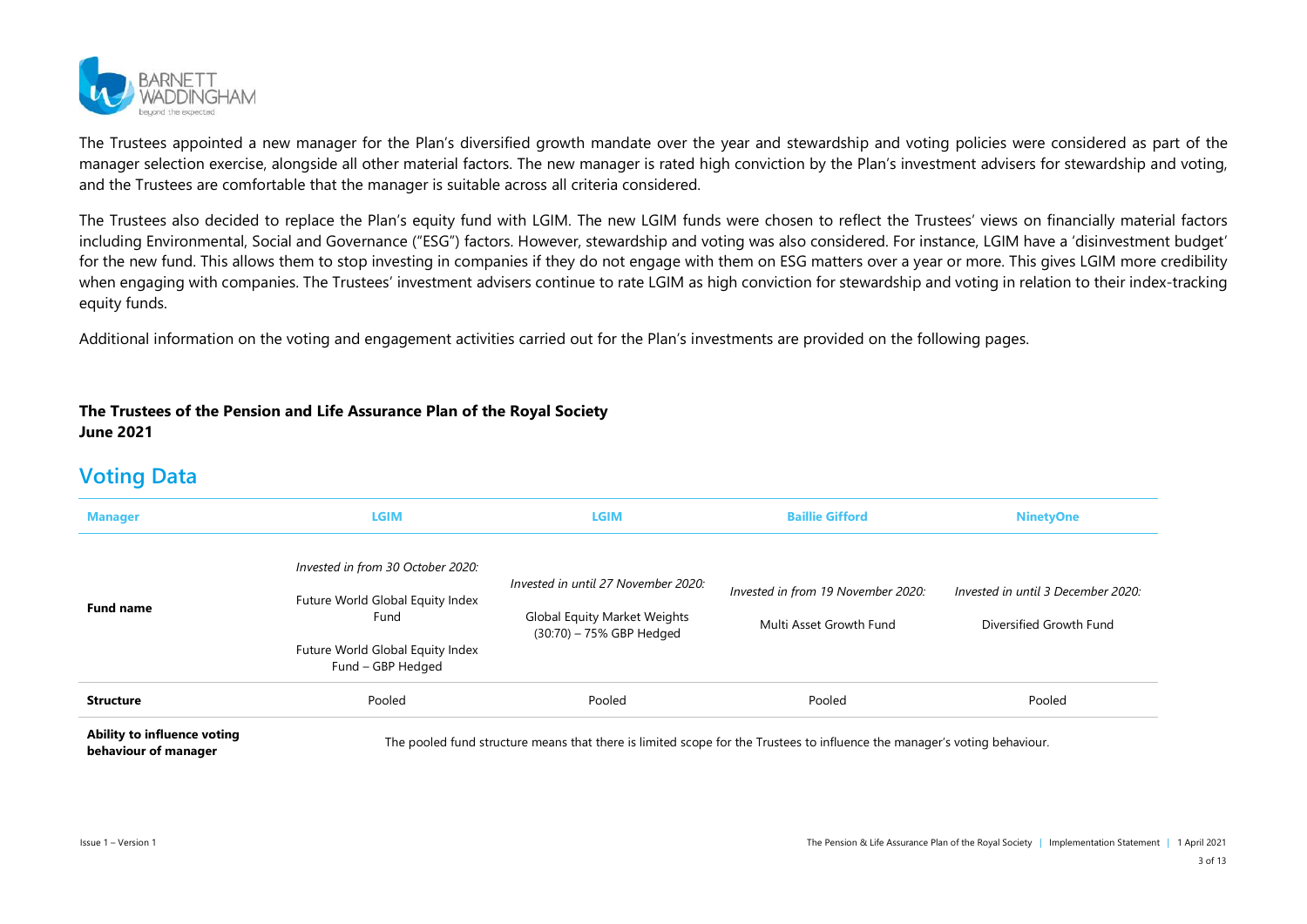

The Trustees appointed a new manager for the Plan's diversified growth mandate over the year and stewardship and voting policies were considered as part of the manager selection exercise, alongside all other material factors. The new manager is rated high conviction by the Plan's investment advisers for stewardship and voting, and the Trustees are comfortable that the manager is suitable across all criteria considered.

The Trustees also decided to replace the Plan's equity fund with LGIM. The new LGIM funds were chosen to reflect the Trustees' views on financially material factors including Environmental, Social and Governance ("ESG") factors. However, stewardship and voting was also considered. For instance, LGIM have a 'disinvestment budget' for the new fund. This allows them to stop investing in companies if they do not engage with them on ESG matters over a year or more. This gives LGIM more credibility when engaging with companies. The Trustees' investment advisers continue to rate LGIM as high conviction for stewardship and voting in relation to their index-tracking equity funds.

Additional information on the voting and engagement activities carried out for the Plan's investments are provided on the following pages.

#### **The Trustees of the Pension and Life Assurance Plan of the Royal Society June 2021**

### **Voting Data**

| <b>Manager</b>                                      | LGIM                                                  | LGIM                                                     | <b>Baillie Gifford</b>                                                                                                    | <b>NinetyOne</b>                   |
|-----------------------------------------------------|-------------------------------------------------------|----------------------------------------------------------|---------------------------------------------------------------------------------------------------------------------------|------------------------------------|
|                                                     | Invested in from 30 October 2020:                     | Invested in until 27 November 2020:                      | Invested in from 19 November 2020:                                                                                        | Invested in until 3 December 2020: |
| <b>Fund name</b>                                    | Future World Global Equity Index<br>Fund              | Global Equity Market Weights<br>(30:70) - 75% GBP Hedged | Multi Asset Growth Fund                                                                                                   | Diversified Growth Fund            |
|                                                     | Future World Global Equity Index<br>Fund - GBP Hedged |                                                          |                                                                                                                           |                                    |
| <b>Structure</b>                                    | Pooled                                                | Pooled                                                   | Pooled                                                                                                                    | Pooled                             |
| Ability to influence voting<br>behaviour of manager |                                                       |                                                          | The pooled fund structure means that there is limited scope for the Trustees to influence the manager's voting behaviour. |                                    |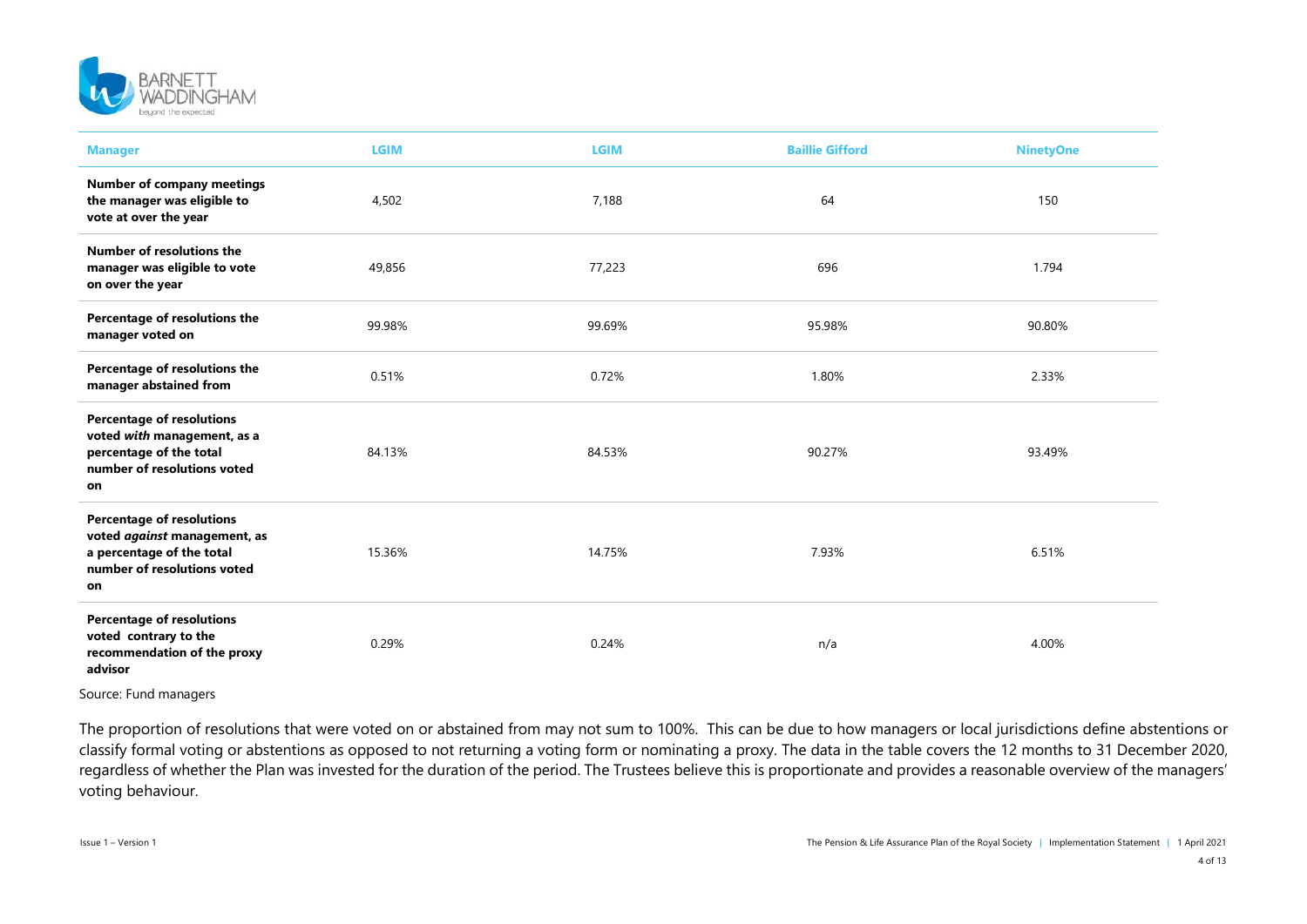

| <b>Manager</b>                                                                                                                     | <b>LGIM</b> | <b>LGIM</b> | <b>Baillie Gifford</b> | <b>NinetyOne</b> |
|------------------------------------------------------------------------------------------------------------------------------------|-------------|-------------|------------------------|------------------|
| <b>Number of company meetings</b><br>the manager was eligible to<br>vote at over the year                                          | 4,502       | 7,188       | 64                     | 150              |
| Number of resolutions the<br>manager was eligible to vote<br>on over the year                                                      | 49,856      | 77,223      | 696                    | 1.794            |
| Percentage of resolutions the<br>manager voted on                                                                                  | 99.98%      | 99.69%      | 95.98%                 | 90.80%           |
| Percentage of resolutions the<br>manager abstained from                                                                            | 0.51%       | 0.72%       | 1.80%                  | 2.33%            |
| <b>Percentage of resolutions</b><br>voted with management, as a<br>percentage of the total<br>number of resolutions voted<br>on    | 84.13%      | 84.53%      | 90.27%                 | 93.49%           |
| <b>Percentage of resolutions</b><br>voted against management, as<br>a percentage of the total<br>number of resolutions voted<br>on | 15.36%      | 14.75%      | 7.93%                  | 6.51%            |
| <b>Percentage of resolutions</b><br>voted contrary to the<br>recommendation of the proxy<br>advisor                                | 0.29%       | 0.24%       | n/a                    | 4.00%            |

Source: Fund managers

The proportion of resolutions that were voted on or abstained from may not sum to 100%. This can be due to how managers or local jurisdictions define abstentions or classify formal voting or abstentions as opposed to not returning a voting form or nominating a proxy. The data in the table covers the 12 months to 31 December 2020, regardless of whether the Plan was invested for the duration of the period. The Trustees believe this is proportionate and provides a reasonable overview of the managers' voting behaviour.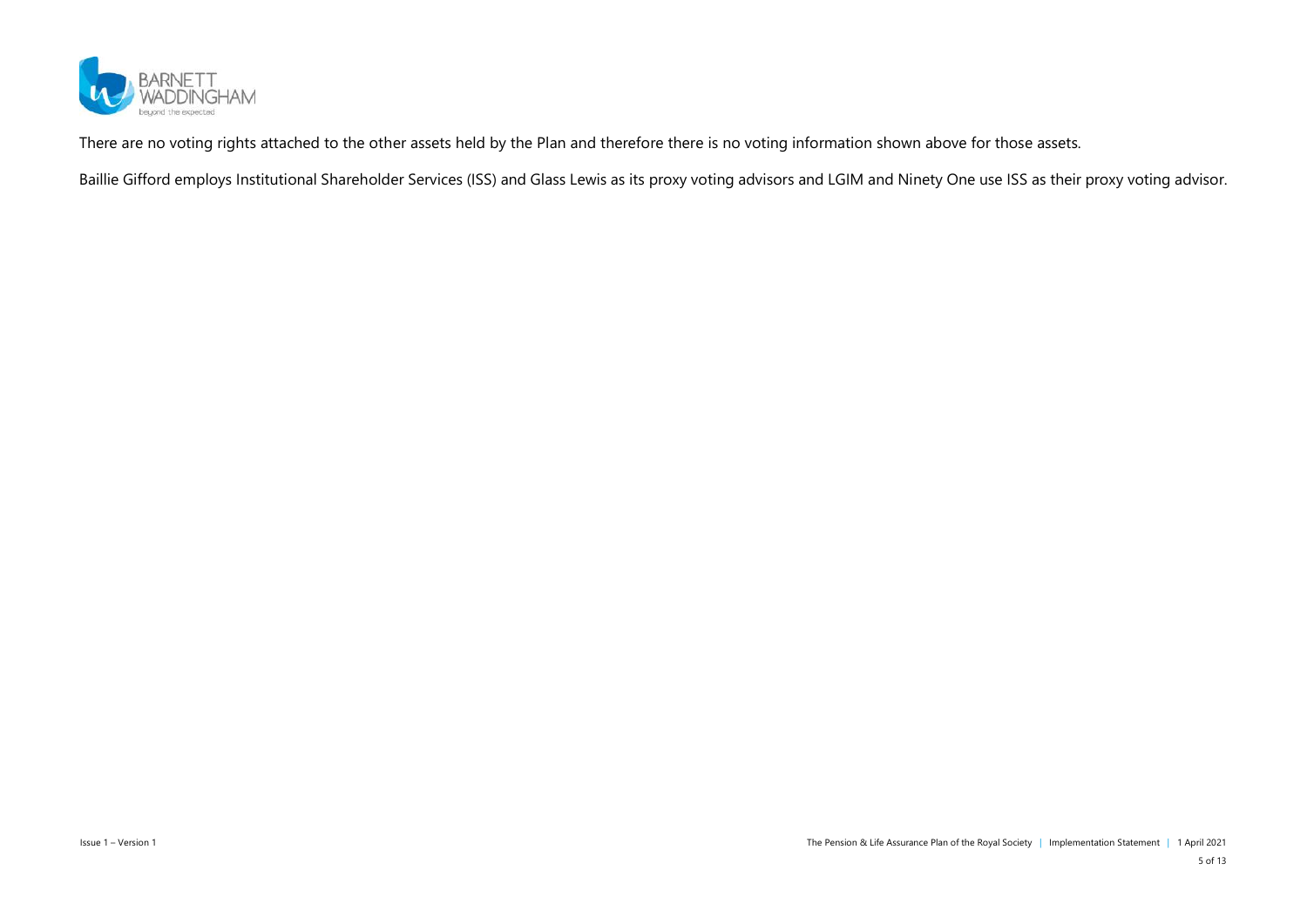

There are no voting rights attached to the other assets held by the Plan and therefore there is no voting information shown above for those assets.

Baillie Gifford employs Institutional Shareholder Services (ISS) and Glass Lewis as its proxy voting advisors and LGIM and Ninety One use ISS as their proxy voting advisor.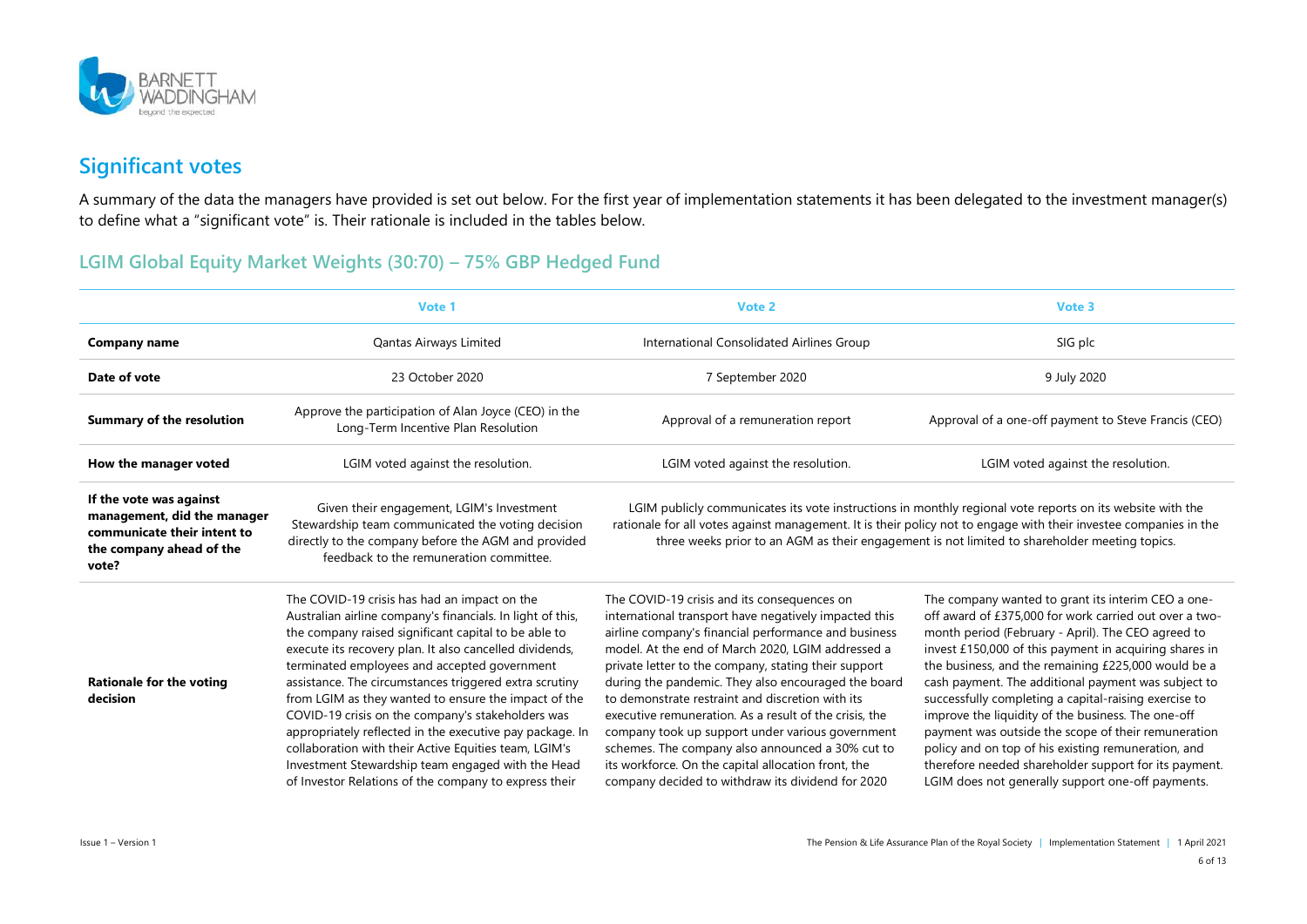

## **Significant votes**

A summary of the data the managers have provided is set out below. For the first year of implementation statements it has been delegated to the investment manager(s) to define what a "significant vote" is. Their rationale is included in the tables below.

#### **LGIM Global Equity Market Weights (30:70) – 75% GBP Hedged Fund**

|                                                                                                                            | Vote 1                                                                                                                                                                                                                                                                                                                                                                                                                                                                                                                                                                                                                                                                                  | Vote 2                                                                                                                                                                                                                                                                                                                                                                                                                                                                                                                                                                                                                                                             | Vote 3                                                                                                                                                                                                                                                                                                                                                                                                                                                                                                                                                                                                                                                                                |
|----------------------------------------------------------------------------------------------------------------------------|-----------------------------------------------------------------------------------------------------------------------------------------------------------------------------------------------------------------------------------------------------------------------------------------------------------------------------------------------------------------------------------------------------------------------------------------------------------------------------------------------------------------------------------------------------------------------------------------------------------------------------------------------------------------------------------------|--------------------------------------------------------------------------------------------------------------------------------------------------------------------------------------------------------------------------------------------------------------------------------------------------------------------------------------------------------------------------------------------------------------------------------------------------------------------------------------------------------------------------------------------------------------------------------------------------------------------------------------------------------------------|---------------------------------------------------------------------------------------------------------------------------------------------------------------------------------------------------------------------------------------------------------------------------------------------------------------------------------------------------------------------------------------------------------------------------------------------------------------------------------------------------------------------------------------------------------------------------------------------------------------------------------------------------------------------------------------|
| <b>Company name</b>                                                                                                        | Qantas Airways Limited                                                                                                                                                                                                                                                                                                                                                                                                                                                                                                                                                                                                                                                                  | International Consolidated Airlines Group                                                                                                                                                                                                                                                                                                                                                                                                                                                                                                                                                                                                                          | SIG plc                                                                                                                                                                                                                                                                                                                                                                                                                                                                                                                                                                                                                                                                               |
| Date of vote                                                                                                               | 23 October 2020                                                                                                                                                                                                                                                                                                                                                                                                                                                                                                                                                                                                                                                                         | 7 September 2020                                                                                                                                                                                                                                                                                                                                                                                                                                                                                                                                                                                                                                                   | 9 July 2020                                                                                                                                                                                                                                                                                                                                                                                                                                                                                                                                                                                                                                                                           |
| <b>Summary of the resolution</b>                                                                                           | Approve the participation of Alan Joyce (CEO) in the<br>Long-Term Incentive Plan Resolution                                                                                                                                                                                                                                                                                                                                                                                                                                                                                                                                                                                             | Approval of a remuneration report                                                                                                                                                                                                                                                                                                                                                                                                                                                                                                                                                                                                                                  | Approval of a one-off payment to Steve Francis (CEO)                                                                                                                                                                                                                                                                                                                                                                                                                                                                                                                                                                                                                                  |
| How the manager voted                                                                                                      | LGIM voted against the resolution.                                                                                                                                                                                                                                                                                                                                                                                                                                                                                                                                                                                                                                                      | LGIM voted against the resolution.                                                                                                                                                                                                                                                                                                                                                                                                                                                                                                                                                                                                                                 | LGIM voted against the resolution.                                                                                                                                                                                                                                                                                                                                                                                                                                                                                                                                                                                                                                                    |
| If the vote was against<br>management, did the manager<br>communicate their intent to<br>the company ahead of the<br>vote? | Given their engagement, LGIM's Investment<br>Stewardship team communicated the voting decision<br>directly to the company before the AGM and provided<br>feedback to the remuneration committee.                                                                                                                                                                                                                                                                                                                                                                                                                                                                                        |                                                                                                                                                                                                                                                                                                                                                                                                                                                                                                                                                                                                                                                                    | LGIM publicly communicates its vote instructions in monthly regional vote reports on its website with the<br>rationale for all votes against management. It is their policy not to engage with their investee companies in the<br>three weeks prior to an AGM as their engagement is not limited to shareholder meeting topics.                                                                                                                                                                                                                                                                                                                                                       |
| <b>Rationale for the voting</b><br>decision                                                                                | The COVID-19 crisis has had an impact on the<br>Australian airline company's financials. In light of this,<br>the company raised significant capital to be able to<br>execute its recovery plan. It also cancelled dividends,<br>terminated employees and accepted government<br>assistance. The circumstances triggered extra scrutiny<br>from LGIM as they wanted to ensure the impact of the<br>COVID-19 crisis on the company's stakeholders was<br>appropriately reflected in the executive pay package. In<br>collaboration with their Active Equities team, LGIM's<br>Investment Stewardship team engaged with the Head<br>of Investor Relations of the company to express their | The COVID-19 crisis and its consequences on<br>international transport have negatively impacted this<br>airline company's financial performance and business<br>model. At the end of March 2020, LGIM addressed a<br>private letter to the company, stating their support<br>during the pandemic. They also encouraged the board<br>to demonstrate restraint and discretion with its<br>executive remuneration. As a result of the crisis, the<br>company took up support under various government<br>schemes. The company also announced a 30% cut to<br>its workforce. On the capital allocation front, the<br>company decided to withdraw its dividend for 2020 | The company wanted to grant its interim CEO a one-<br>off award of £375,000 for work carried out over a two-<br>month period (February - April). The CEO agreed to<br>invest £150,000 of this payment in acquiring shares in<br>the business, and the remaining £225,000 would be a<br>cash payment. The additional payment was subject to<br>successfully completing a capital-raising exercise to<br>improve the liquidity of the business. The one-off<br>payment was outside the scope of their remuneration<br>policy and on top of his existing remuneration, and<br>therefore needed shareholder support for its payment.<br>LGIM does not generally support one-off payments. |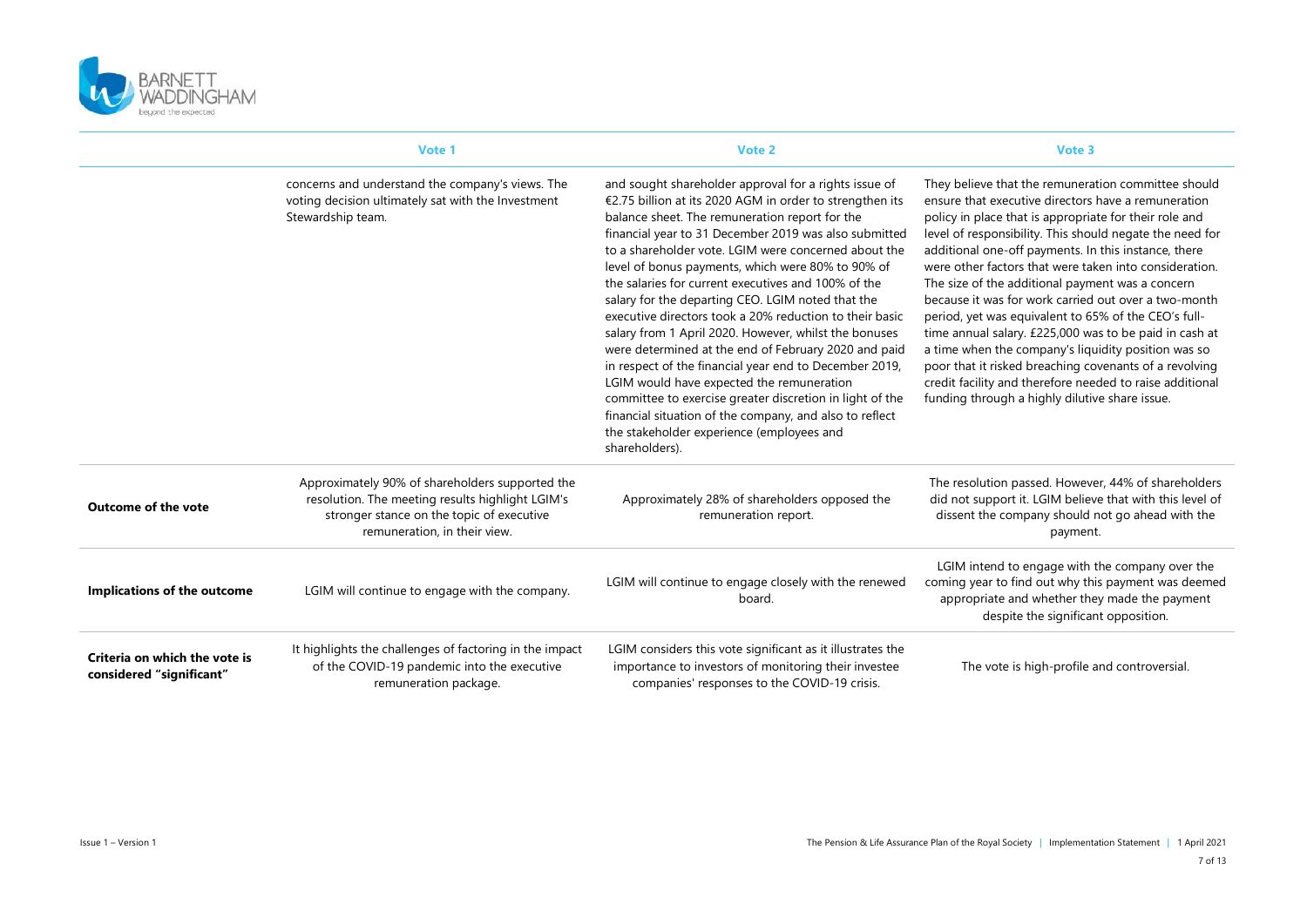

|                                                           | Vote 1                                                                                                                                                                           | Vote 2                                                                                                                                                                                                                                                                                                                                                                                                                                                                                                                                                                                                                                                                                                                                                                                                                                                                                                                         | Vote 3                                                                                                                                                                                                                                                                                                                                                                                                                                                                                                                                                                                                                                                                                                                                                                                                          |
|-----------------------------------------------------------|----------------------------------------------------------------------------------------------------------------------------------------------------------------------------------|--------------------------------------------------------------------------------------------------------------------------------------------------------------------------------------------------------------------------------------------------------------------------------------------------------------------------------------------------------------------------------------------------------------------------------------------------------------------------------------------------------------------------------------------------------------------------------------------------------------------------------------------------------------------------------------------------------------------------------------------------------------------------------------------------------------------------------------------------------------------------------------------------------------------------------|-----------------------------------------------------------------------------------------------------------------------------------------------------------------------------------------------------------------------------------------------------------------------------------------------------------------------------------------------------------------------------------------------------------------------------------------------------------------------------------------------------------------------------------------------------------------------------------------------------------------------------------------------------------------------------------------------------------------------------------------------------------------------------------------------------------------|
|                                                           | concerns and understand the company's views. The<br>voting decision ultimately sat with the Investment<br>Stewardship team.                                                      | and sought shareholder approval for a rights issue of<br>€2.75 billion at its 2020 AGM in order to strengthen its<br>balance sheet. The remuneration report for the<br>financial year to 31 December 2019 was also submitted<br>to a shareholder vote. LGIM were concerned about the<br>level of bonus payments, which were 80% to 90% of<br>the salaries for current executives and 100% of the<br>salary for the departing CEO. LGIM noted that the<br>executive directors took a 20% reduction to their basic<br>salary from 1 April 2020. However, whilst the bonuses<br>were determined at the end of February 2020 and paid<br>in respect of the financial year end to December 2019,<br>LGIM would have expected the remuneration<br>committee to exercise greater discretion in light of the<br>financial situation of the company, and also to reflect<br>the stakeholder experience (employees and<br>shareholders). | They believe that the remuneration committee should<br>ensure that executive directors have a remuneration<br>policy in place that is appropriate for their role and<br>level of responsibility. This should negate the need for<br>additional one-off payments. In this instance, there<br>were other factors that were taken into consideration.<br>The size of the additional payment was a concern<br>because it was for work carried out over a two-month<br>period, yet was equivalent to 65% of the CEO's full-<br>time annual salary. £225,000 was to be paid in cash at<br>a time when the company's liquidity position was so<br>poor that it risked breaching covenants of a revolving<br>credit facility and therefore needed to raise additional<br>funding through a highly dilutive share issue. |
| <b>Outcome of the vote</b>                                | Approximately 90% of shareholders supported the<br>resolution. The meeting results highlight LGIM's<br>stronger stance on the topic of executive<br>remuneration, in their view. | Approximately 28% of shareholders opposed the<br>remuneration report.                                                                                                                                                                                                                                                                                                                                                                                                                                                                                                                                                                                                                                                                                                                                                                                                                                                          | The resolution passed. However, 44% of shareholders<br>did not support it. LGIM believe that with this level of<br>dissent the company should not go ahead with the<br>payment.                                                                                                                                                                                                                                                                                                                                                                                                                                                                                                                                                                                                                                 |
| <b>Implications of the outcome</b>                        | LGIM will continue to engage with the company.                                                                                                                                   | LGIM will continue to engage closely with the renewed<br>board.                                                                                                                                                                                                                                                                                                                                                                                                                                                                                                                                                                                                                                                                                                                                                                                                                                                                | LGIM intend to engage with the company over the<br>coming year to find out why this payment was deemed<br>appropriate and whether they made the payment<br>despite the significant opposition.                                                                                                                                                                                                                                                                                                                                                                                                                                                                                                                                                                                                                  |
| Criteria on which the vote is<br>considered "significant" | It highlights the challenges of factoring in the impact<br>of the COVID-19 pandemic into the executive<br>remuneration package.                                                  | LGIM considers this vote significant as it illustrates the<br>importance to investors of monitoring their investee<br>companies' responses to the COVID-19 crisis.                                                                                                                                                                                                                                                                                                                                                                                                                                                                                                                                                                                                                                                                                                                                                             | The vote is high-profile and controversial.                                                                                                                                                                                                                                                                                                                                                                                                                                                                                                                                                                                                                                                                                                                                                                     |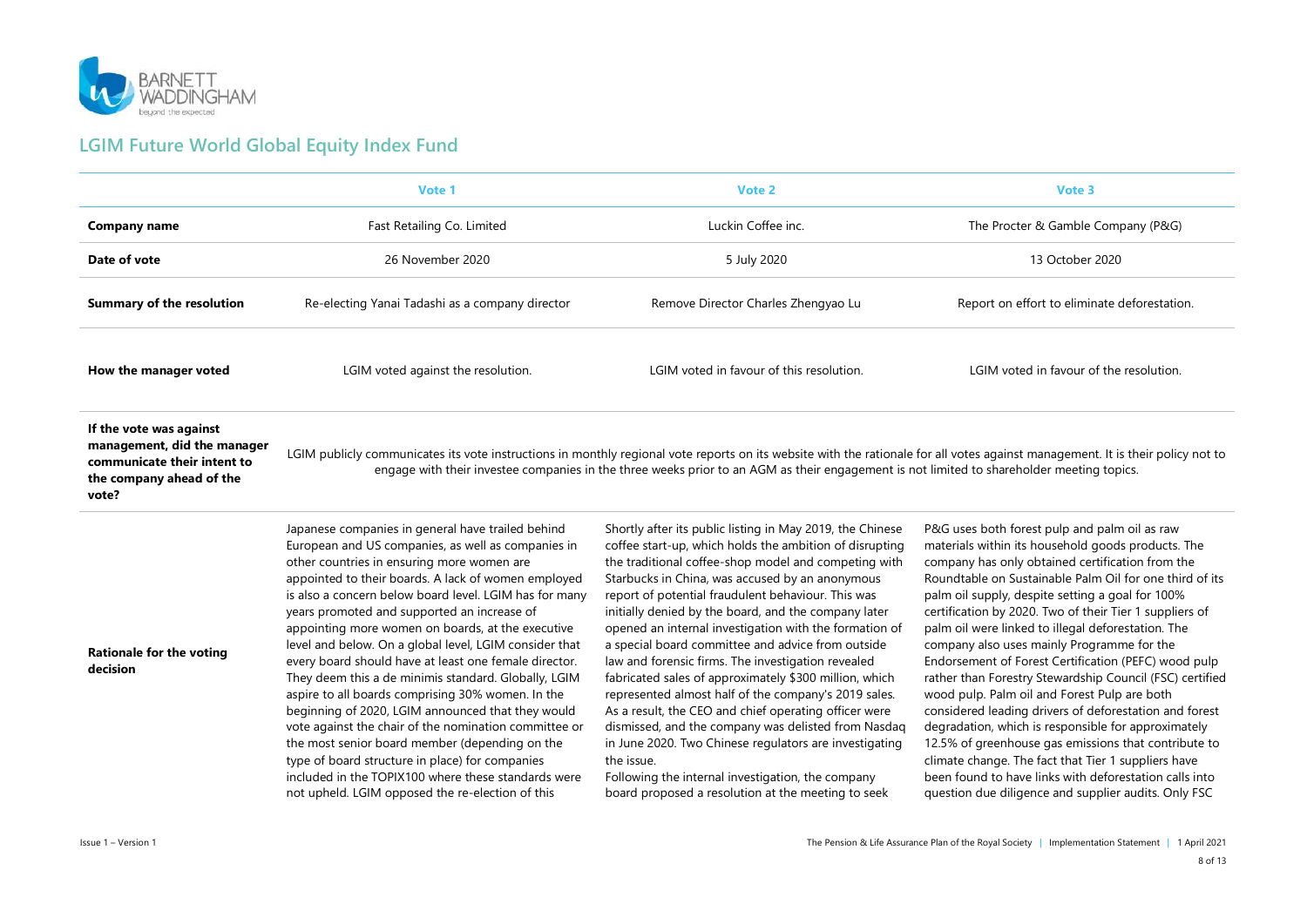

### **LGIM Future World Global Equity Index Fund**

|                                                                                                                            | Vote 1                                                                                                                                                                                                                                                                                                                                                                                                                                                                                                                                                                                                                                                                                                                                                                                                                                                                                                                                   | Vote 2                                                                                                                                                                                                                                                                                                                                                                                                                                                                                                                                                                                                                                                                                                                                                                                                                                                                                                                                  | Vote 3                                                                                                                                                                                                                                                                                                                                                                                                                                                                                                                                                                                                                                                                                                                                                                                                                                                                                                                                                      |
|----------------------------------------------------------------------------------------------------------------------------|------------------------------------------------------------------------------------------------------------------------------------------------------------------------------------------------------------------------------------------------------------------------------------------------------------------------------------------------------------------------------------------------------------------------------------------------------------------------------------------------------------------------------------------------------------------------------------------------------------------------------------------------------------------------------------------------------------------------------------------------------------------------------------------------------------------------------------------------------------------------------------------------------------------------------------------|-----------------------------------------------------------------------------------------------------------------------------------------------------------------------------------------------------------------------------------------------------------------------------------------------------------------------------------------------------------------------------------------------------------------------------------------------------------------------------------------------------------------------------------------------------------------------------------------------------------------------------------------------------------------------------------------------------------------------------------------------------------------------------------------------------------------------------------------------------------------------------------------------------------------------------------------|-------------------------------------------------------------------------------------------------------------------------------------------------------------------------------------------------------------------------------------------------------------------------------------------------------------------------------------------------------------------------------------------------------------------------------------------------------------------------------------------------------------------------------------------------------------------------------------------------------------------------------------------------------------------------------------------------------------------------------------------------------------------------------------------------------------------------------------------------------------------------------------------------------------------------------------------------------------|
| <b>Company name</b>                                                                                                        | Fast Retailing Co. Limited                                                                                                                                                                                                                                                                                                                                                                                                                                                                                                                                                                                                                                                                                                                                                                                                                                                                                                               | Luckin Coffee inc.                                                                                                                                                                                                                                                                                                                                                                                                                                                                                                                                                                                                                                                                                                                                                                                                                                                                                                                      | The Procter & Gamble Company (P&G)                                                                                                                                                                                                                                                                                                                                                                                                                                                                                                                                                                                                                                                                                                                                                                                                                                                                                                                          |
| Date of vote                                                                                                               | 26 November 2020                                                                                                                                                                                                                                                                                                                                                                                                                                                                                                                                                                                                                                                                                                                                                                                                                                                                                                                         | 5 July 2020                                                                                                                                                                                                                                                                                                                                                                                                                                                                                                                                                                                                                                                                                                                                                                                                                                                                                                                             | 13 October 2020                                                                                                                                                                                                                                                                                                                                                                                                                                                                                                                                                                                                                                                                                                                                                                                                                                                                                                                                             |
| <b>Summary of the resolution</b>                                                                                           | Re-electing Yanai Tadashi as a company director                                                                                                                                                                                                                                                                                                                                                                                                                                                                                                                                                                                                                                                                                                                                                                                                                                                                                          | Remove Director Charles Zhengyao Lu                                                                                                                                                                                                                                                                                                                                                                                                                                                                                                                                                                                                                                                                                                                                                                                                                                                                                                     | Report on effort to eliminate deforestation.                                                                                                                                                                                                                                                                                                                                                                                                                                                                                                                                                                                                                                                                                                                                                                                                                                                                                                                |
| How the manager voted                                                                                                      | LGIM voted against the resolution.                                                                                                                                                                                                                                                                                                                                                                                                                                                                                                                                                                                                                                                                                                                                                                                                                                                                                                       | LGIM voted in favour of this resolution.                                                                                                                                                                                                                                                                                                                                                                                                                                                                                                                                                                                                                                                                                                                                                                                                                                                                                                | LGIM voted in favour of the resolution.                                                                                                                                                                                                                                                                                                                                                                                                                                                                                                                                                                                                                                                                                                                                                                                                                                                                                                                     |
| If the vote was against<br>management, did the manager<br>communicate their intent to<br>the company ahead of the<br>vote? |                                                                                                                                                                                                                                                                                                                                                                                                                                                                                                                                                                                                                                                                                                                                                                                                                                                                                                                                          | LGIM publicly communicates its vote instructions in monthly regional vote reports on its website with the rationale for all votes against management. It is their policy not to<br>engage with their investee companies in the three weeks prior to an AGM as their engagement is not limited to shareholder meeting topics.                                                                                                                                                                                                                                                                                                                                                                                                                                                                                                                                                                                                            |                                                                                                                                                                                                                                                                                                                                                                                                                                                                                                                                                                                                                                                                                                                                                                                                                                                                                                                                                             |
| <b>Rationale for the voting</b><br>decision                                                                                | Japanese companies in general have trailed behind<br>European and US companies, as well as companies in<br>other countries in ensuring more women are<br>appointed to their boards. A lack of women employed<br>is also a concern below board level. LGIM has for many<br>years promoted and supported an increase of<br>appointing more women on boards, at the executive<br>level and below. On a global level, LGIM consider that<br>every board should have at least one female director.<br>They deem this a de minimis standard. Globally, LGIM<br>aspire to all boards comprising 30% women. In the<br>beginning of 2020, LGIM announced that they would<br>vote against the chair of the nomination committee or<br>the most senior board member (depending on the<br>type of board structure in place) for companies<br>included in the TOPIX100 where these standards were<br>not upheld. LGIM opposed the re-election of this | Shortly after its public listing in May 2019, the Chinese<br>coffee start-up, which holds the ambition of disrupting<br>the traditional coffee-shop model and competing with<br>Starbucks in China, was accused by an anonymous<br>report of potential fraudulent behaviour. This was<br>initially denied by the board, and the company later<br>opened an internal investigation with the formation of<br>a special board committee and advice from outside<br>law and forensic firms. The investigation revealed<br>fabricated sales of approximately \$300 million, which<br>represented almost half of the company's 2019 sales.<br>As a result, the CEO and chief operating officer were<br>dismissed, and the company was delisted from Nasdaq<br>in June 2020. Two Chinese regulators are investigating<br>the issue.<br>Following the internal investigation, the company<br>board proposed a resolution at the meeting to seek | P&G uses both forest pulp and palm oil as raw<br>materials within its household goods products. The<br>company has only obtained certification from the<br>Roundtable on Sustainable Palm Oil for one third of its<br>palm oil supply, despite setting a goal for 100%<br>certification by 2020. Two of their Tier 1 suppliers of<br>palm oil were linked to illegal deforestation. The<br>company also uses mainly Programme for the<br>Endorsement of Forest Certification (PEFC) wood pulp<br>rather than Forestry Stewardship Council (FSC) certified<br>wood pulp. Palm oil and Forest Pulp are both<br>considered leading drivers of deforestation and forest<br>degradation, which is responsible for approximately<br>12.5% of greenhouse gas emissions that contribute to<br>climate change. The fact that Tier 1 suppliers have<br>been found to have links with deforestation calls into<br>question due diligence and supplier audits. Only FSC |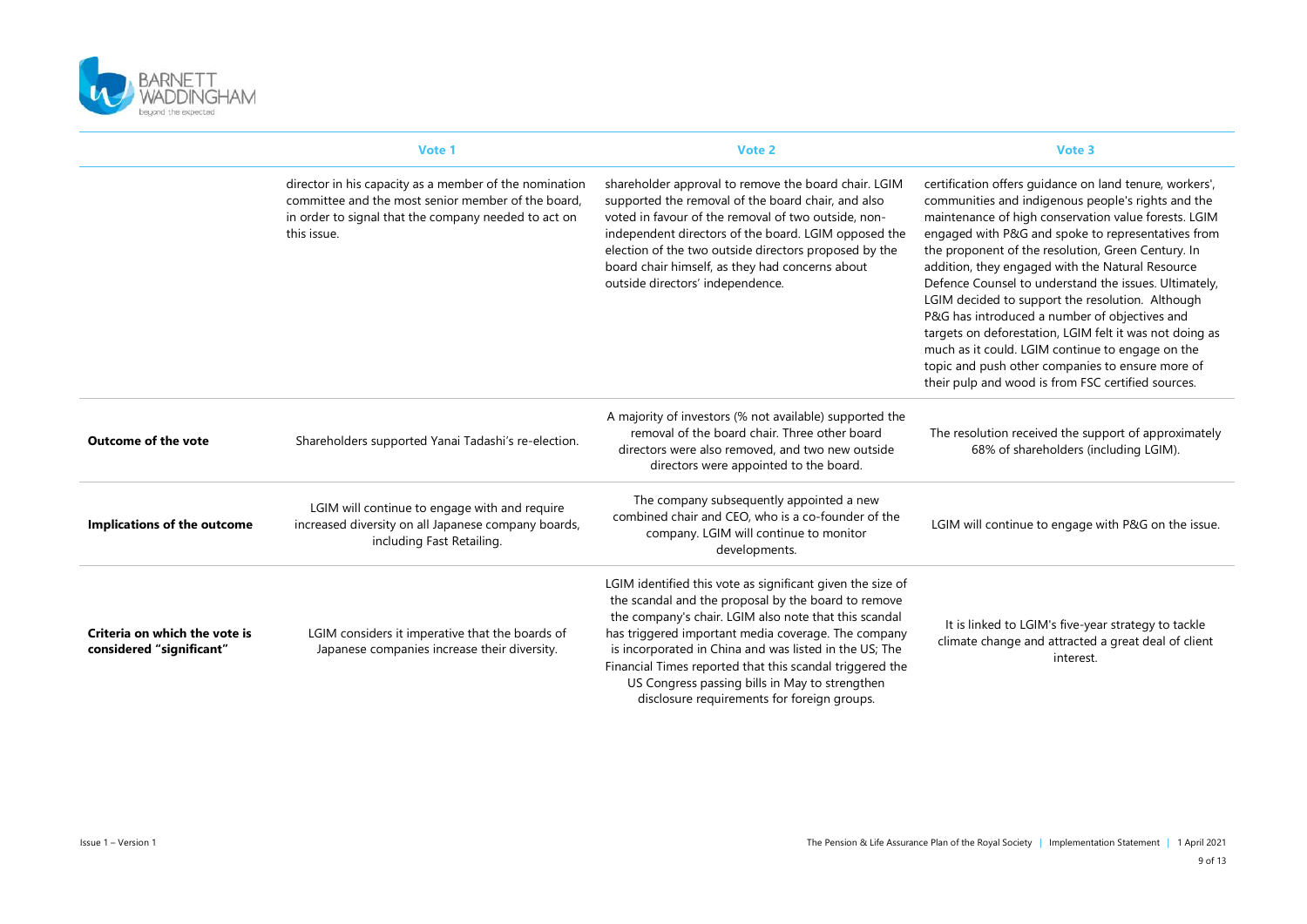

|                                                           | Vote 1                                                                                                                                                                              | Vote 2                                                                                                                                                                                                                                                                                                                                                                                                                                                   | Vote 3                                                                                                                                                                                                                                                                                                                                                                                                                                                                                                                                                                                                                                                                                                                       |
|-----------------------------------------------------------|-------------------------------------------------------------------------------------------------------------------------------------------------------------------------------------|----------------------------------------------------------------------------------------------------------------------------------------------------------------------------------------------------------------------------------------------------------------------------------------------------------------------------------------------------------------------------------------------------------------------------------------------------------|------------------------------------------------------------------------------------------------------------------------------------------------------------------------------------------------------------------------------------------------------------------------------------------------------------------------------------------------------------------------------------------------------------------------------------------------------------------------------------------------------------------------------------------------------------------------------------------------------------------------------------------------------------------------------------------------------------------------------|
|                                                           | director in his capacity as a member of the nomination<br>committee and the most senior member of the board.<br>in order to signal that the company needed to act on<br>this issue. | shareholder approval to remove the board chair. LGIM<br>supported the removal of the board chair, and also<br>voted in favour of the removal of two outside, non-<br>independent directors of the board. LGIM opposed the<br>election of the two outside directors proposed by the<br>board chair himself, as they had concerns about<br>outside directors' independence.                                                                                | certification offers guidance on land tenure, workers',<br>communities and indigenous people's rights and the<br>maintenance of high conservation value forests. LGIM<br>engaged with P&G and spoke to representatives from<br>the proponent of the resolution, Green Century. In<br>addition, they engaged with the Natural Resource<br>Defence Counsel to understand the issues. Ultimately,<br>LGIM decided to support the resolution. Although<br>P&G has introduced a number of objectives and<br>targets on deforestation, LGIM felt it was not doing as<br>much as it could. LGIM continue to engage on the<br>topic and push other companies to ensure more of<br>their pulp and wood is from FSC certified sources. |
| <b>Outcome of the vote</b>                                | Shareholders supported Yanai Tadashi's re-election.                                                                                                                                 | A majority of investors (% not available) supported the<br>removal of the board chair. Three other board<br>directors were also removed, and two new outside<br>directors were appointed to the board.                                                                                                                                                                                                                                                   | The resolution received the support of approximately<br>68% of shareholders (including LGIM).                                                                                                                                                                                                                                                                                                                                                                                                                                                                                                                                                                                                                                |
| Implications of the outcome                               | LGIM will continue to engage with and require<br>increased diversity on all Japanese company boards,<br>including Fast Retailing.                                                   | The company subsequently appointed a new<br>combined chair and CEO, who is a co-founder of the<br>company. LGIM will continue to monitor<br>developments.                                                                                                                                                                                                                                                                                                | LGIM will continue to engage with P&G on the issue.                                                                                                                                                                                                                                                                                                                                                                                                                                                                                                                                                                                                                                                                          |
| Criteria on which the vote is<br>considered "significant" | LGIM considers it imperative that the boards of<br>Japanese companies increase their diversity.                                                                                     | LGIM identified this vote as significant given the size of<br>the scandal and the proposal by the board to remove<br>the company's chair. LGIM also note that this scandal<br>has triggered important media coverage. The company<br>is incorporated in China and was listed in the US; The<br>Financial Times reported that this scandal triggered the<br>US Congress passing bills in May to strengthen<br>disclosure requirements for foreign groups. | It is linked to LGIM's five-year strategy to tackle<br>climate change and attracted a great deal of client<br>interest.                                                                                                                                                                                                                                                                                                                                                                                                                                                                                                                                                                                                      |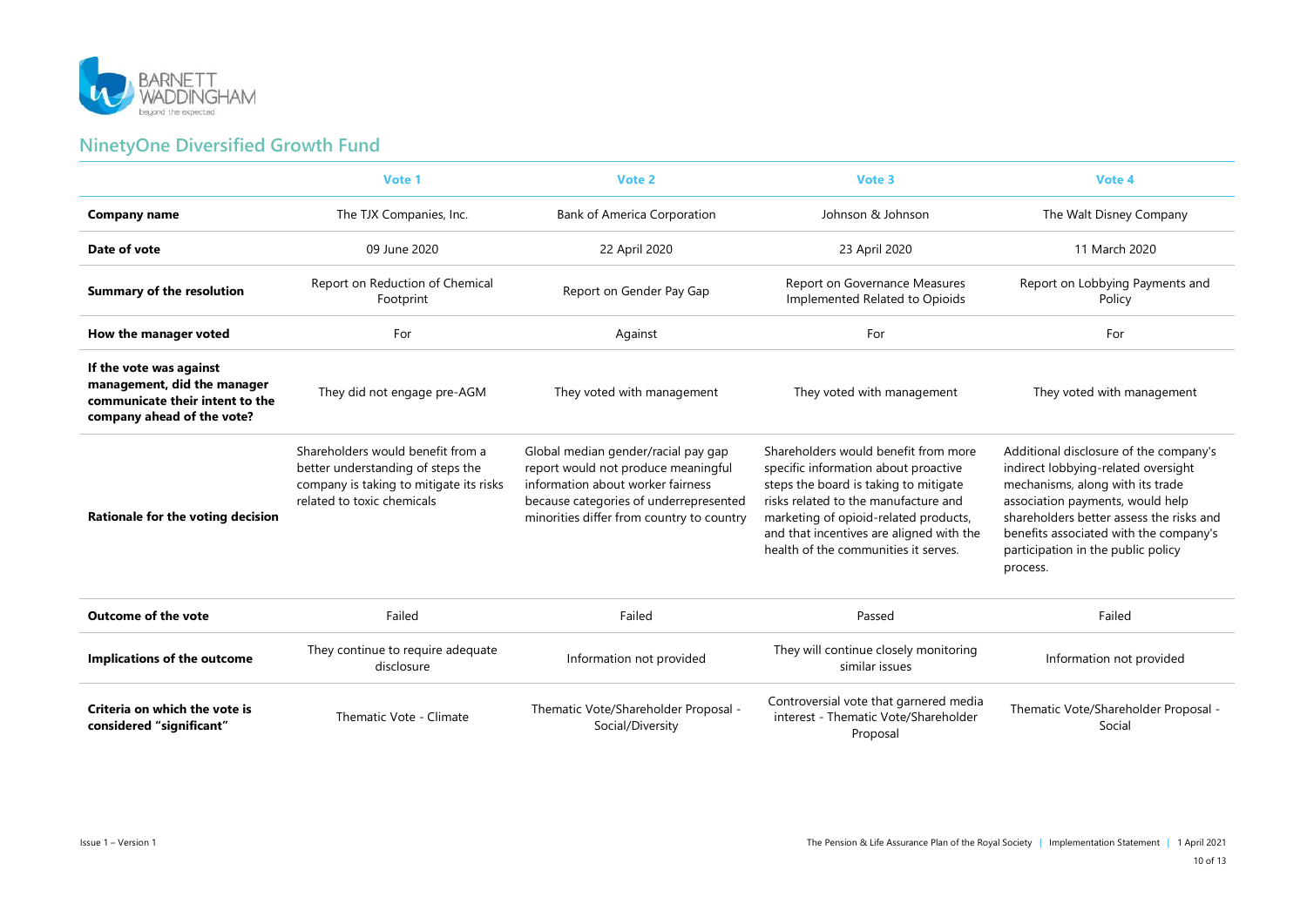

### **NinetyOne Diversified Growth Fund**

|                                                                                                                         | Vote 1                                                                                                                                          | Vote 2                                                                                                                                                                                                 | Vote 3                                                                                                                                                                                                                                                                                     | Vote 4                                                                                                                                                                                                                                                                                        |
|-------------------------------------------------------------------------------------------------------------------------|-------------------------------------------------------------------------------------------------------------------------------------------------|--------------------------------------------------------------------------------------------------------------------------------------------------------------------------------------------------------|--------------------------------------------------------------------------------------------------------------------------------------------------------------------------------------------------------------------------------------------------------------------------------------------|-----------------------------------------------------------------------------------------------------------------------------------------------------------------------------------------------------------------------------------------------------------------------------------------------|
| <b>Company name</b>                                                                                                     | The TJX Companies, Inc.                                                                                                                         | <b>Bank of America Corporation</b>                                                                                                                                                                     | Johnson & Johnson                                                                                                                                                                                                                                                                          | The Walt Disney Company                                                                                                                                                                                                                                                                       |
| Date of vote                                                                                                            | 09 June 2020                                                                                                                                    | 22 April 2020                                                                                                                                                                                          | 23 April 2020                                                                                                                                                                                                                                                                              | 11 March 2020                                                                                                                                                                                                                                                                                 |
| <b>Summary of the resolution</b>                                                                                        | Report on Reduction of Chemical<br>Footprint                                                                                                    | Report on Gender Pay Gap                                                                                                                                                                               | Report on Governance Measures<br>Implemented Related to Opioids                                                                                                                                                                                                                            | Report on Lobbying Payments and<br>Policy                                                                                                                                                                                                                                                     |
| How the manager voted                                                                                                   | For                                                                                                                                             | Against                                                                                                                                                                                                | For                                                                                                                                                                                                                                                                                        | For                                                                                                                                                                                                                                                                                           |
| If the vote was against<br>management, did the manager<br>communicate their intent to the<br>company ahead of the vote? | They did not engage pre-AGM                                                                                                                     | They voted with management                                                                                                                                                                             | They voted with management                                                                                                                                                                                                                                                                 | They voted with management                                                                                                                                                                                                                                                                    |
| Rationale for the voting decision                                                                                       | Shareholders would benefit from a<br>better understanding of steps the<br>company is taking to mitigate its risks<br>related to toxic chemicals | Global median gender/racial pay gap<br>report would not produce meaningful<br>information about worker fairness<br>because categories of underrepresented<br>minorities differ from country to country | Shareholders would benefit from more<br>specific information about proactive<br>steps the board is taking to mitigate<br>risks related to the manufacture and<br>marketing of opioid-related products,<br>and that incentives are aligned with the<br>health of the communities it serves. | Additional disclosure of the company's<br>indirect lobbying-related oversight<br>mechanisms, along with its trade<br>association payments, would help<br>shareholders better assess the risks and<br>benefits associated with the company's<br>participation in the public policy<br>process. |
| <b>Outcome of the vote</b>                                                                                              | Failed                                                                                                                                          | Failed                                                                                                                                                                                                 | Passed                                                                                                                                                                                                                                                                                     | Failed                                                                                                                                                                                                                                                                                        |
| Implications of the outcome                                                                                             | They continue to require adequate<br>disclosure                                                                                                 | Information not provided                                                                                                                                                                               | They will continue closely monitoring<br>similar issues                                                                                                                                                                                                                                    | Information not provided                                                                                                                                                                                                                                                                      |
| Criteria on which the vote is<br>considered "significant"                                                               | Thematic Vote - Climate                                                                                                                         | Thematic Vote/Shareholder Proposal -<br>Social/Diversity                                                                                                                                               | Controversial vote that garnered media<br>interest - Thematic Vote/Shareholder<br>Proposal                                                                                                                                                                                                 | Thematic Vote/Shareholder Proposal -<br>Social                                                                                                                                                                                                                                                |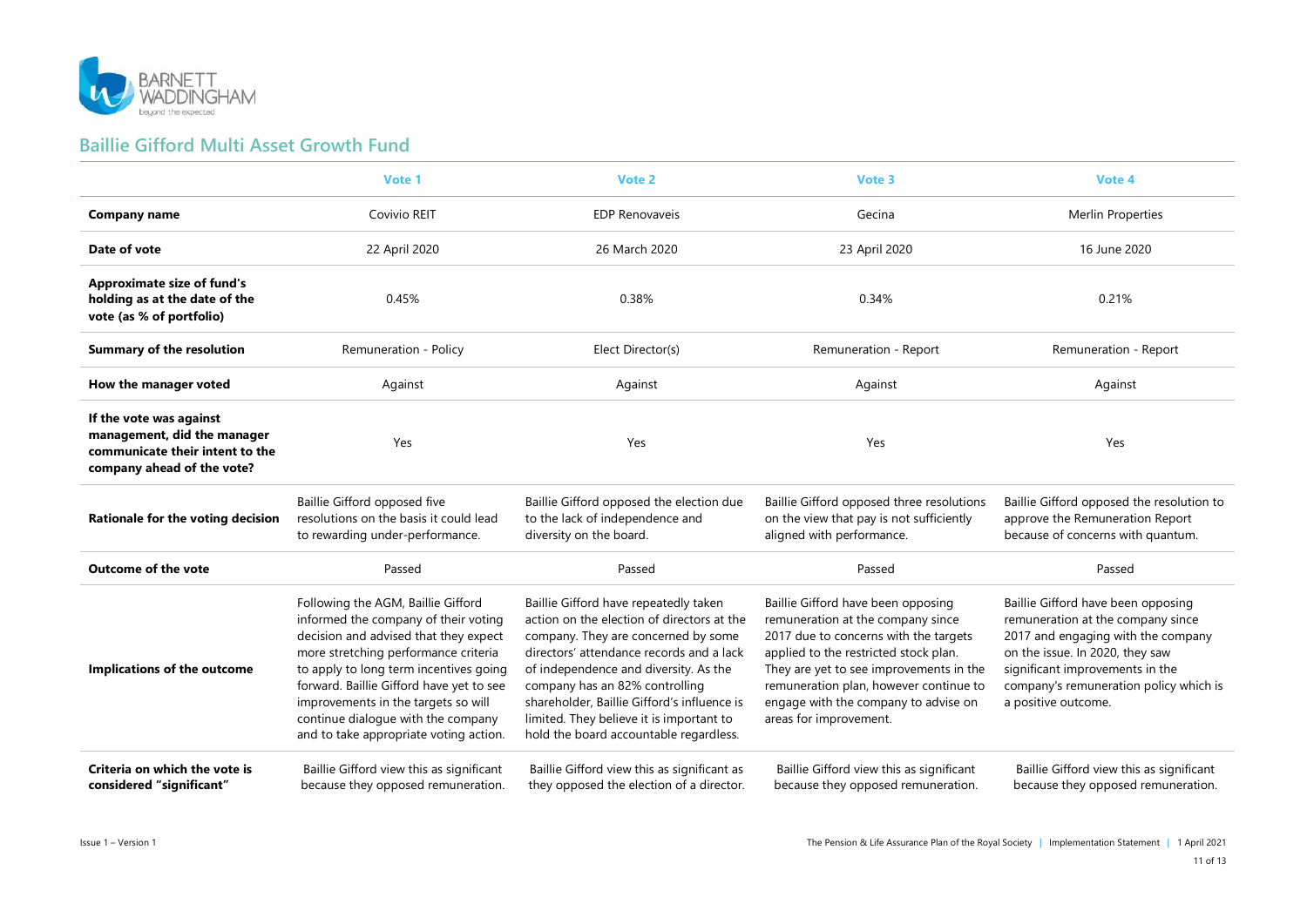

#### **Baillie Gifford Multi Asset Growth Fund**

|                                                                                                                         | Vote 1                                                                                                                                                                                                                                                                                                                                                                   | Vote 2                                                                                                                                                                                                                                                                                                                                                                                 | Vote 3                                                                                                                                                                                                                                                                                                           | Vote 4                                                                                                                                                                                                                                               |
|-------------------------------------------------------------------------------------------------------------------------|--------------------------------------------------------------------------------------------------------------------------------------------------------------------------------------------------------------------------------------------------------------------------------------------------------------------------------------------------------------------------|----------------------------------------------------------------------------------------------------------------------------------------------------------------------------------------------------------------------------------------------------------------------------------------------------------------------------------------------------------------------------------------|------------------------------------------------------------------------------------------------------------------------------------------------------------------------------------------------------------------------------------------------------------------------------------------------------------------|------------------------------------------------------------------------------------------------------------------------------------------------------------------------------------------------------------------------------------------------------|
| <b>Company name</b>                                                                                                     | Covivio REIT                                                                                                                                                                                                                                                                                                                                                             | <b>EDP Renovaveis</b>                                                                                                                                                                                                                                                                                                                                                                  | Gecina                                                                                                                                                                                                                                                                                                           | <b>Merlin Properties</b>                                                                                                                                                                                                                             |
| Date of vote                                                                                                            | 22 April 2020                                                                                                                                                                                                                                                                                                                                                            | 26 March 2020                                                                                                                                                                                                                                                                                                                                                                          | 23 April 2020                                                                                                                                                                                                                                                                                                    | 16 June 2020                                                                                                                                                                                                                                         |
| <b>Approximate size of fund's</b><br>holding as at the date of the<br>vote (as % of portfolio)                          | 0.45%                                                                                                                                                                                                                                                                                                                                                                    | 0.38%                                                                                                                                                                                                                                                                                                                                                                                  | 0.34%                                                                                                                                                                                                                                                                                                            | 0.21%                                                                                                                                                                                                                                                |
| <b>Summary of the resolution</b>                                                                                        | Remuneration - Policy                                                                                                                                                                                                                                                                                                                                                    | Elect Director(s)                                                                                                                                                                                                                                                                                                                                                                      | Remuneration - Report                                                                                                                                                                                                                                                                                            | Remuneration - Report                                                                                                                                                                                                                                |
| How the manager voted                                                                                                   | Against                                                                                                                                                                                                                                                                                                                                                                  | Against                                                                                                                                                                                                                                                                                                                                                                                | Against                                                                                                                                                                                                                                                                                                          | Against                                                                                                                                                                                                                                              |
| If the vote was against<br>management, did the manager<br>communicate their intent to the<br>company ahead of the vote? | Yes                                                                                                                                                                                                                                                                                                                                                                      | Yes                                                                                                                                                                                                                                                                                                                                                                                    | Yes                                                                                                                                                                                                                                                                                                              | Yes                                                                                                                                                                                                                                                  |
| Rationale for the voting decision                                                                                       | Baillie Gifford opposed five<br>resolutions on the basis it could lead<br>to rewarding under-performance.                                                                                                                                                                                                                                                                | Baillie Gifford opposed the election due<br>to the lack of independence and<br>diversity on the board.                                                                                                                                                                                                                                                                                 | Baillie Gifford opposed three resolutions<br>on the view that pay is not sufficiently<br>aligned with performance.                                                                                                                                                                                               | Baillie Gifford opposed the resolution to<br>approve the Remuneration Report<br>because of concerns with quantum.                                                                                                                                    |
| <b>Outcome of the vote</b>                                                                                              | Passed                                                                                                                                                                                                                                                                                                                                                                   | Passed                                                                                                                                                                                                                                                                                                                                                                                 | Passed                                                                                                                                                                                                                                                                                                           | Passed                                                                                                                                                                                                                                               |
| Implications of the outcome                                                                                             | Following the AGM, Baillie Gifford<br>informed the company of their voting<br>decision and advised that they expect<br>more stretching performance criteria<br>to apply to long term incentives going<br>forward. Baillie Gifford have yet to see<br>improvements in the targets so will<br>continue dialogue with the company<br>and to take appropriate voting action. | Baillie Gifford have repeatedly taken<br>action on the election of directors at the<br>company. They are concerned by some<br>directors' attendance records and a lack<br>of independence and diversity. As the<br>company has an 82% controlling<br>shareholder, Baillie Gifford's influence is<br>limited. They believe it is important to<br>hold the board accountable regardless. | Baillie Gifford have been opposing<br>remuneration at the company since<br>2017 due to concerns with the targets<br>applied to the restricted stock plan.<br>They are yet to see improvements in the<br>remuneration plan, however continue to<br>engage with the company to advise on<br>areas for improvement. | Baillie Gifford have been opposing<br>remuneration at the company since<br>2017 and engaging with the company<br>on the issue. In 2020, they saw<br>significant improvements in the<br>company's remuneration policy which is<br>a positive outcome. |
| Criteria on which the vote is<br>considered "significant"                                                               | Baillie Gifford view this as significant<br>because they opposed remuneration.                                                                                                                                                                                                                                                                                           | Baillie Gifford view this as significant as<br>they opposed the election of a director.                                                                                                                                                                                                                                                                                                | Baillie Gifford view this as significant<br>because they opposed remuneration.                                                                                                                                                                                                                                   | Baillie Gifford view this as significant<br>because they opposed remuneration.                                                                                                                                                                       |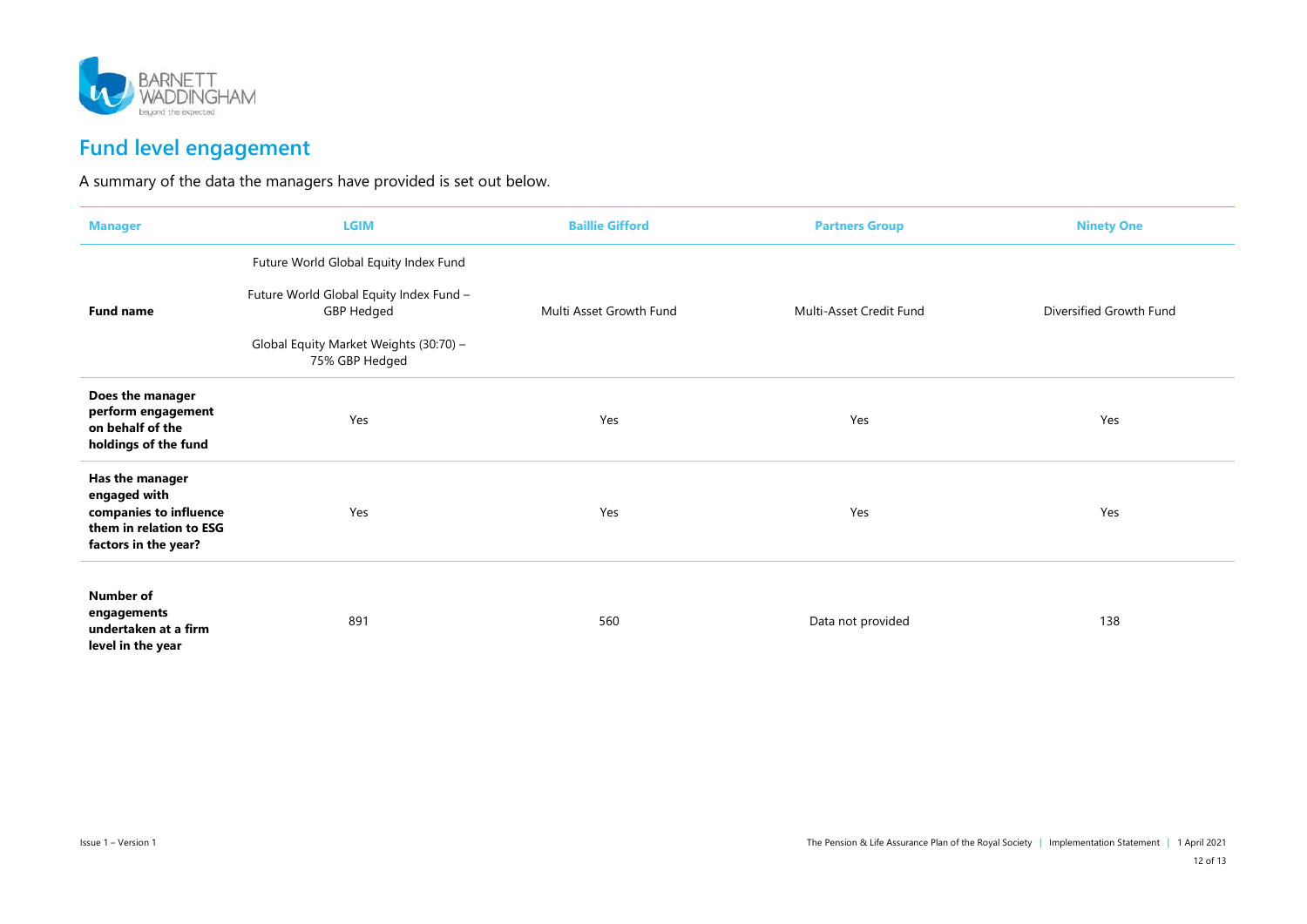

## **Fund level engagement**

A summary of the data the managers have provided is set out below.

| <b>Manager</b>                                                                                               | <b>LGIM</b>                                              | <b>Baillie Gifford</b>  | <b>Partners Group</b>   | <b>Ninety One</b>       |
|--------------------------------------------------------------------------------------------------------------|----------------------------------------------------------|-------------------------|-------------------------|-------------------------|
|                                                                                                              | Future World Global Equity Index Fund                    |                         |                         |                         |
| <b>Fund name</b>                                                                                             | Future World Global Equity Index Fund -<br>GBP Hedged    | Multi Asset Growth Fund | Multi-Asset Credit Fund | Diversified Growth Fund |
|                                                                                                              | Global Equity Market Weights (30:70) -<br>75% GBP Hedged |                         |                         |                         |
| Does the manager<br>perform engagement<br>on behalf of the<br>holdings of the fund                           | Yes                                                      | Yes                     | Yes                     | Yes                     |
| Has the manager<br>engaged with<br>companies to influence<br>them in relation to ESG<br>factors in the year? | Yes                                                      | Yes                     | Yes                     | Yes                     |
| <b>Number of</b><br>engagements<br>undertaken at a firm<br>level in the year                                 | 891                                                      | 560                     | Data not provided       | 138                     |